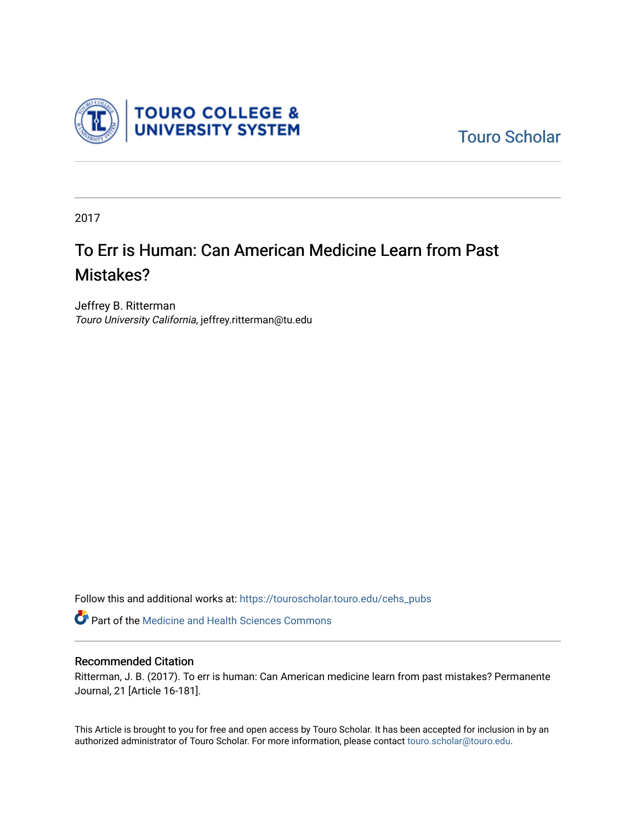

[Touro Scholar](https://touroscholar.touro.edu/) 

2017

# To Err is Human: Can American Medicine Learn from Past Mistakes?

Jeffrey B. Ritterman Touro University California, jeffrey.ritterman@tu.edu

Follow this and additional works at: [https://touroscholar.touro.edu/cehs\\_pubs](https://touroscholar.touro.edu/cehs_pubs?utm_source=touroscholar.touro.edu%2Fcehs_pubs%2F60&utm_medium=PDF&utm_campaign=PDFCoverPages) 

**Part of the Medicine and Health Sciences Commons** 

# Recommended Citation

Ritterman, J. B. (2017). To err is human: Can American medicine learn from past mistakes? Permanente Journal, 21 [Article 16-181].

This Article is brought to you for free and open access by Touro Scholar. It has been accepted for inclusion in by an authorized administrator of Touro Scholar. For more information, please contact [touro.scholar@touro.edu.](mailto:touro.scholar@touro.edu)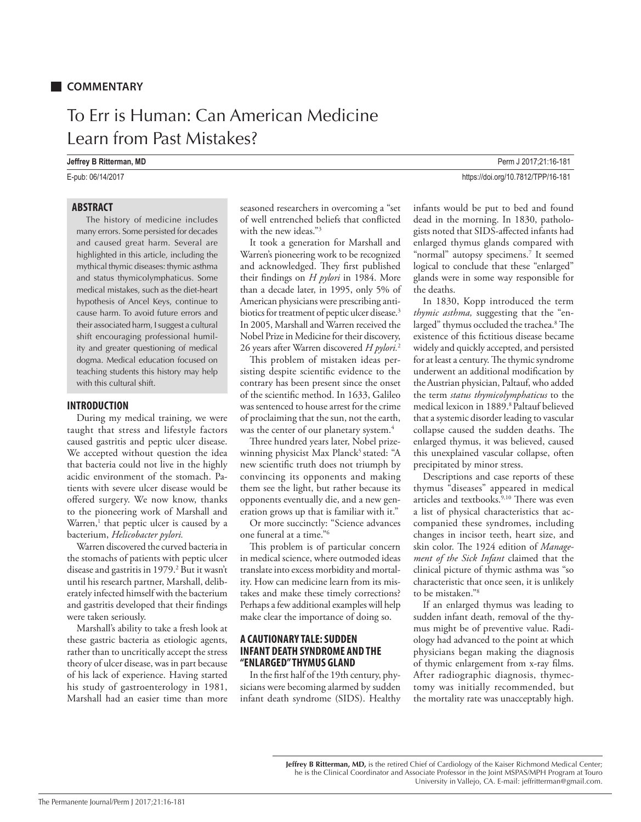# **COMMENTARY**

# To Err is Human: Can American Medicine Learn from Past Mistakes?

## **Jeffrey B Ritterman, MD** Perm J 2017;21:16-181

# **ABSTRACT**

The history of medicine includes many errors. Some persisted for decades and caused great harm. Several are highlighted in this article, including the mythical thymic diseases: thymic asthma and status thymicolymphaticus. Some medical mistakes, such as the diet-heart hypothesis of Ancel Keys, continue to cause harm. To avoid future errors and their associated harm, I suggest a cultural shift encouraging professional humility and greater questioning of medical dogma. Medical education focused on teaching students this history may help with this cultural shift.

## **INTRODUCTION**

During my medical training, we were taught that stress and lifestyle factors caused gastritis and peptic ulcer disease. We accepted without question the idea that bacteria could not live in the highly acidic environment of the stomach. Patients with severe ulcer disease would be offered surgery. We now know, thanks to the pioneering work of Marshall and Warren,<sup>1</sup> that peptic ulcer is caused by a bacterium, *Helicobacter pylori.* 

Warren discovered the curved bacteria in the stomachs of patients with peptic ulcer disease and gastritis in 1979.2 But it wasn't until his research partner, Marshall, deliberately infected himself with the bacterium and gastritis developed that their findings were taken seriously.

Marshall's ability to take a fresh look at these gastric bacteria as etiologic agents, rather than to uncritically accept the stress theory of ulcer disease, was in part because of his lack of experience. Having started his study of gastroenterology in 1981, Marshall had an easier time than more seasoned researchers in overcoming a "set of well entrenched beliefs that conflicted with the new ideas."3

It took a generation for Marshall and Warren's pioneering work to be recognized and acknowledged. They first published their findings on *H pylori* in 1984. More than a decade later, in 1995, only 5% of American physicians were prescribing antibiotics for treatment of peptic ulcer disease.<sup>3</sup> In 2005, Marshall and Warren received the Nobel Prize in Medicine for their discovery, 26 years after Warren discovered *H pylori.*<sup>2</sup>

This problem of mistaken ideas persisting despite scientific evidence to the contrary has been present since the onset of the scientific method. In 1633, Galileo was sentenced to house arrest for the crime of proclaiming that the sun, not the earth, was the center of our planetary system.<sup>4</sup>

Three hundred years later, Nobel prizewinning physicist Max Planck<sup>5</sup> stated: "A new scientific truth does not triumph by convincing its opponents and making them see the light, but rather because its opponents eventually die, and a new generation grows up that is familiar with it."

Or more succinctly: "Science advances one funeral at a time."6

This problem is of particular concern in medical science, where outmoded ideas translate into excess morbidity and mortality. How can medicine learn from its mistakes and make these timely corrections? Perhaps a few additional examples will help make clear the importance of doing so.

## **A CAUTIONARY TALE: SUDDEN INFANT DEATH SYNDROME AND THE "ENLARGED" THYMUS GLAND**

In the first half of the 19th century, physicians were becoming alarmed by sudden infant death syndrome (SIDS). Healthy

infants would be put to bed and found dead in the morning. In 1830, pathologists noted that SIDS-affected infants had enlarged thymus glands compared with "normal" autopsy specimens.7 It seemed logical to conclude that these "enlarged" glands were in some way responsible for the deaths.

In 1830, Kopp introduced the term *thymic asthma,* suggesting that the "enlarged" thymus occluded the trachea.8 The existence of this fictitious disease became widely and quickly accepted, and persisted for at least a century. The thymic syndrome underwent an additional modification by the Austrian physician, Paltauf, who added the term *status thymicolymphaticus* to the medical lexicon in 1889.8 Paltauf believed that a systemic disorder leading to vascular collapse caused the sudden deaths. The enlarged thymus, it was believed, caused this unexplained vascular collapse, often precipitated by minor stress.

Descriptions and case reports of these thymus "diseases" appeared in medical articles and textbooks.9,10 There was even a list of physical characteristics that accompanied these syndromes, including changes in incisor teeth, heart size, and skin color. The 1924 edition of *Management of the Sick Infant* claimed that the clinical picture of thymic asthma was "so characteristic that once seen, it is unlikely to be mistaken."8

If an enlarged thymus was leading to sudden infant death, removal of the thymus might be of preventive value. Radiology had advanced to the point at which physicians began making the diagnosis of thymic enlargement from x-ray films. After radiographic diagnosis, thymectomy was initially recommended, but the mortality rate was unacceptably high.

E-pub: 06/14/2017 https://doi.org/10.7812/TPP/16-181

**Jeffrey B Ritterman, MD,** is the retired Chief of Cardiology of the Kaiser Richmond Medical Center; he is the Clinical Coordinator and Associate Professor in the Joint MSPAS/MPH Program at Touro University in Vallejo, CA. E-mail: jeffritterman@gmail.com.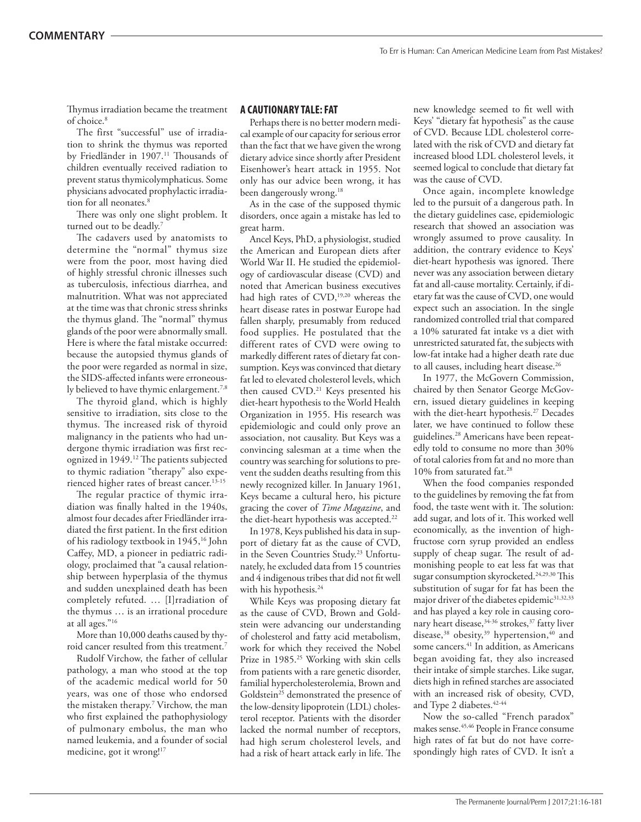Thymus irradiation became the treatment of choice.<sup>8</sup>

The first "successful" use of irradiation to shrink the thymus was reported by Friedländer in 1907.<sup>11</sup> Thousands of children eventually received radiation to prevent status thymicolymphaticus. Some physicians advocated prophylactic irradiation for all neonates.<sup>8</sup>

There was only one slight problem. It turned out to be deadly.<sup>7</sup>

The cadavers used by anatomists to determine the "normal" thymus size were from the poor, most having died of highly stressful chronic illnesses such as tuberculosis, infectious diarrhea, and malnutrition. What was not appreciated at the time was that chronic stress shrinks the thymus gland. The "normal" thymus glands of the poor were abnormally small. Here is where the fatal mistake occurred: because the autopsied thymus glands of the poor were regarded as normal in size, the SIDS-affected infants were erroneously believed to have thymic enlargement.<sup>7,8</sup>

The thyroid gland, which is highly sensitive to irradiation, sits close to the thymus. The increased risk of thyroid malignancy in the patients who had undergone thymic irradiation was first recognized in 1949.12 The patients subjected to thymic radiation "therapy" also experienced higher rates of breast cancer.<sup>13-15</sup>

The regular practice of thymic irradiation was finally halted in the 1940s, almost four decades after Friedländer irradiated the first patient. In the first edition of his radiology textbook in 1945,<sup>16</sup> John Caffey, MD, a pioneer in pediatric radiology, proclaimed that "a causal relationship between hyperplasia of the thymus and sudden unexplained death has been completely refuted. … [I]rradiation of the thymus … is an irrational procedure at all ages."16

More than 10,000 deaths caused by thyroid cancer resulted from this treatment.<sup>7</sup>

Rudolf Virchow, the father of cellular pathology, a man who stood at the top of the academic medical world for 50 years, was one of those who endorsed the mistaken therapy.7 Virchow, the man who first explained the pathophysiology of pulmonary embolus, the man who named leukemia, and a founder of social medicine, got it wrong!<sup>17</sup>

# **A CAUTIONARY TALE: FAT**

Perhaps there is no better modern medical example of our capacity for serious error than the fact that we have given the wrong dietary advice since shortly after President Eisenhower's heart attack in 1955. Not only has our advice been wrong, it has been dangerously wrong.<sup>18</sup>

As in the case of the supposed thymic disorders, once again a mistake has led to great harm.

Ancel Keys, PhD, a physiologist, studied the American and European diets after World War II. He studied the epidemiology of cardiovascular disease (CVD) and noted that American business executives had high rates of CVD,<sup>19,20</sup> whereas the heart disease rates in postwar Europe had fallen sharply, presumably from reduced food supplies. He postulated that the different rates of CVD were owing to markedly different rates of dietary fat consumption. Keys was convinced that dietary fat led to elevated cholesterol levels, which then caused CVD.<sup>21</sup> Keys presented his diet-heart hypothesis to the World Health Organization in 1955. His research was epidemiologic and could only prove an association, not causality. But Keys was a convincing salesman at a time when the country was searching for solutions to prevent the sudden deaths resulting from this newly recognized killer. In January 1961, Keys became a cultural hero, his picture gracing the cover of *Time Magazine*, and the diet-heart hypothesis was accepted.<sup>22</sup>

In 1978, Keys published his data in support of dietary fat as the cause of CVD, in the Seven Countries Study.<sup>23</sup> Unfortunately, he excluded data from 15 countries and 4 indigenous tribes that did not fit well with his hypothesis.<sup>24</sup>

While Keys was proposing dietary fat as the cause of CVD, Brown and Goldstein were advancing our understanding of cholesterol and fatty acid metabolism, work for which they received the Nobel Prize in 1985.<sup>25</sup> Working with skin cells from patients with a rare genetic disorder, familial hypercholesterolemia, Brown and Goldstein<sup>25</sup> demonstrated the presence of the low-density lipoprotein (LDL) cholesterol receptor. Patients with the disorder lacked the normal number of receptors, had high serum cholesterol levels, and had a risk of heart attack early in life. The

new knowledge seemed to fit well with Keys' "dietary fat hypothesis" as the cause of CVD. Because LDL cholesterol correlated with the risk of CVD and dietary fat increased blood LDL cholesterol levels, it seemed logical to conclude that dietary fat was the cause of CVD.

Once again, incomplete knowledge led to the pursuit of a dangerous path. In the dietary guidelines case, epidemiologic research that showed an association was wrongly assumed to prove causality. In addition, the contrary evidence to Keys' diet-heart hypothesis was ignored. There never was any association between dietary fat and all-cause mortality. Certainly, if dietary fat was the cause of CVD, one would expect such an association. In the single randomized controlled trial that compared a 10% saturated fat intake vs a diet with unrestricted saturated fat, the subjects with low-fat intake had a higher death rate due to all causes, including heart disease.<sup>26</sup>

In 1977, the McGovern Commission, chaired by then Senator George McGovern, issued dietary guidelines in keeping with the diet-heart hypothesis.<sup>27</sup> Decades later, we have continued to follow these guidelines.<sup>28</sup> Americans have been repeatedly told to consume no more than 30% of total calories from fat and no more than 10% from saturated fat.<sup>28</sup>

When the food companies responded to the guidelines by removing the fat from food, the taste went with it. The solution: add sugar, and lots of it. This worked well economically, as the invention of highfructose corn syrup provided an endless supply of cheap sugar. The result of admonishing people to eat less fat was that sugar consumption skyrocketed.<sup>24,29,30</sup> This substitution of sugar for fat has been the major driver of the diabetes epidemic<sup>31,32,33</sup> and has played a key role in causing coronary heart disease,<sup>34-36</sup> strokes,<sup>37</sup> fatty liver disease,<sup>38</sup> obesity,<sup>39</sup> hypertension,<sup>40</sup> and some cancers.<sup>41</sup> In addition, as Americans began avoiding fat, they also increased their intake of simple starches. Like sugar, diets high in refined starches are associated with an increased risk of obesity, CVD, and Type 2 diabetes.<sup>42-44</sup>

Now the so-called "French paradox" makes sense.45,46 People in France consume high rates of fat but do not have correspondingly high rates of CVD. It isn't a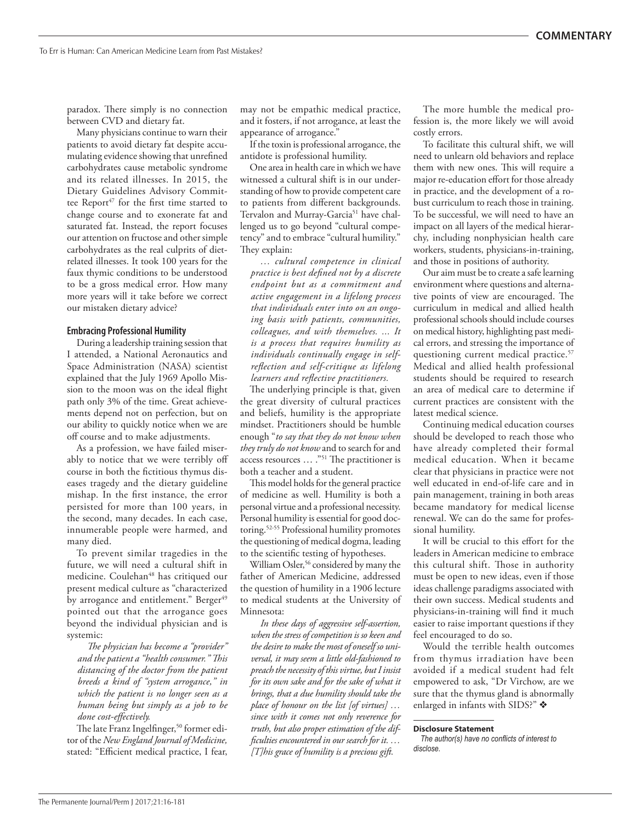paradox. There simply is no connection between CVD and dietary fat.

Many physicians continue to warn their patients to avoid dietary fat despite accumulating evidence showing that unrefined carbohydrates cause metabolic syndrome and its related illnesses. In 2015, the Dietary Guidelines Advisory Committee Report<sup>47</sup> for the first time started to change course and to exonerate fat and saturated fat. Instead, the report focuses our attention on fructose and other simple carbohydrates as the real culprits of dietrelated illnesses. It took 100 years for the faux thymic conditions to be understood to be a gross medical error. How many more years will it take before we correct our mistaken dietary advice?

### **Embracing Professional Humility**

During a leadership training session that I attended, a National Aeronautics and Space Administration (NASA) scientist explained that the July 1969 Apollo Mission to the moon was on the ideal flight path only 3% of the time. Great achievements depend not on perfection, but on our ability to quickly notice when we are off course and to make adjustments.

As a profession, we have failed miserably to notice that we were terribly off course in both the fictitious thymus diseases tragedy and the dietary guideline mishap. In the first instance, the error persisted for more than 100 years, in the second, many decades. In each case, innumerable people were harmed, and many died.

To prevent similar tragedies in the future, we will need a cultural shift in medicine. Coulehan<sup>48</sup> has critiqued our present medical culture as "characterized by arrogance and entitlement." Berger<sup>49</sup> pointed out that the arrogance goes beyond the individual physician and is systemic:

*The physician has become a "provider" and the patient a "health consumer." This distancing of the doctor from the patient breeds a kind of "system arrogance," in which the patient is no longer seen as a human being but simply as a job to be done cost-effectively.*

The late Franz Ingelfinger,<sup>50</sup> former editor of the *New England Journal of Medicine,* stated: "Efficient medical practice, I fear, may not be empathic medical practice, and it fosters, if not arrogance, at least the appearance of arrogance."

If the toxin is professional arrogance, the antidote is professional humility.

One area in health care in which we have witnessed a cultural shift is in our understanding of how to provide competent care to patients from different backgrounds. Tervalon and Murray-Garcia<sup>51</sup> have challenged us to go beyond "cultural competency" and to embrace "cultural humility." They explain:

*… cultural competence in clinical practice is best defined not by a discrete endpoint but as a commitment and active engagement in a lifelong process that individuals enter into on an ongoing basis with patients, communities, colleagues, and with themselves. ... It is a process that requires humility as individuals continually engage in selfreflection and self-critique as lifelong learners and reflective practitioners.* 

The underlying principle is that, given the great diversity of cultural practices and beliefs, humility is the appropriate mindset. Practitioners should be humble enough "*to say that they do not know when they truly do not know* and to search for and access resources … ."51 The practitioner is both a teacher and a student.

This model holds for the general practice of medicine as well. Humility is both a personal virtue and a professional necessity. Personal humility is essential for good doctoring.52-55 Professional humility promotes the questioning of medical dogma, leading to the scientific testing of hypotheses.

William Osler,<sup>56</sup> considered by many the father of American Medicine, addressed the question of humility in a 1906 lecture to medical students at the University of Minnesota:

*In these days of aggressive self-assertion, when the stress of competition is so keen and the desire to make the most of oneself so universal, it may seem a little old-fashioned to preach the necessity of this virtue, but I insist for its own sake and for the sake of what it brings, that a due humility should take the place of honour on the list [of virtues] … since with it comes not only reverence for truth, but also proper estimation of the difficulties encountered in our search for it. … [T]his grace of humility is a precious gift.*

The more humble the medical profession is, the more likely we will avoid costly errors.

To facilitate this cultural shift, we will need to unlearn old behaviors and replace them with new ones. This will require a major re-education effort for those already in practice, and the development of a robust curriculum to reach those in training. To be successful, we will need to have an impact on all layers of the medical hierarchy, including nonphysician health care workers, students, physicians-in-training, and those in positions of authority.

Our aim must be to create a safe learning environment where questions and alternative points of view are encouraged. The curriculum in medical and allied health professional schools should include courses on medical history, highlighting past medical errors, and stressing the importance of questioning current medical practice.<sup>57</sup> Medical and allied health professional students should be required to research an area of medical care to determine if current practices are consistent with the latest medical science.

Continuing medical education courses should be developed to reach those who have already completed their formal medical education. When it became clear that physicians in practice were not well educated in end-of-life care and in pain management, training in both areas became mandatory for medical license renewal. We can do the same for professional humility.

It will be crucial to this effort for the leaders in American medicine to embrace this cultural shift. Those in authority must be open to new ideas, even if those ideas challenge paradigms associated with their own success. Medical students and physicians-in-training will find it much easier to raise important questions if they feel encouraged to do so.

Would the terrible health outcomes from thymus irradiation have been avoided if a medical student had felt empowered to ask, "Dr Virchow, are we sure that the thymus gland is abnormally enlarged in infants with SIDS?"  $\clubsuit$ 

## **Disclosure Statement**

*The author(s) have no conflicts of interest to disclose.*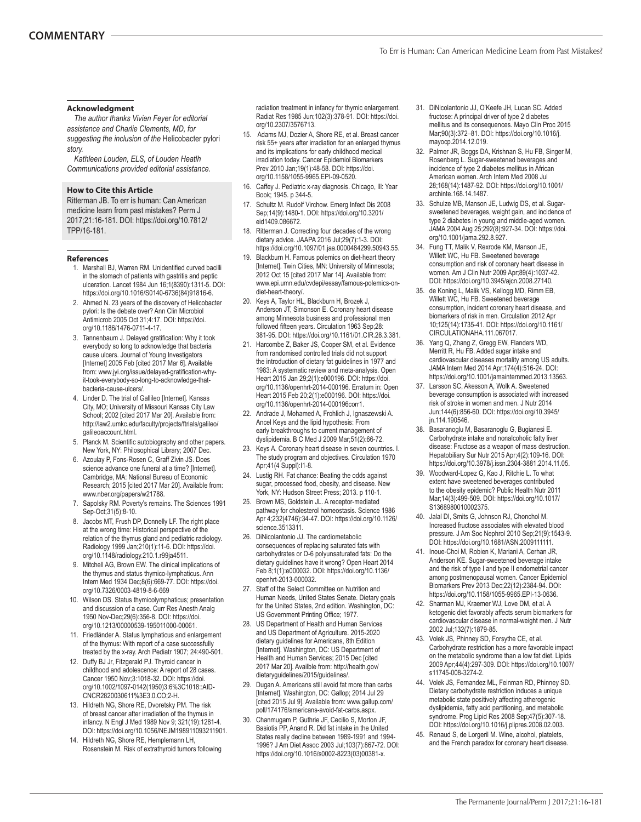#### **Acknowledgment**

*The author thanks Vivien Feyer for editorial assistance and Charlie Clements, MD, for suggesting the inclusion of the* Helicobacter pylori *story.* 

*Kathleen Louden, ELS, of Louden Heatlh Communications provided editorial assistance.*

### **How to Cite this Article**

Ritterman JB. To err is human: Can American medicine learn from past mistakes? Perm J 2017;21:16-181. DOI: https://doi.org/10.7812/ TPP/16-181.

#### **References**

- 1. Marshall BJ, Warren RM. Unidentified curved bacilli in the stomach of patients with gastritis and peptic ulceration. Lancet 1984 Jun 16;1(8390):1311-5. DOI: https://doi.org/10.1016/S0140-6736(84)91816-6.
- 2. Ahmed N. 23 years of the discovery of Helicobacter pylori: Is the debate over? Ann Clin Microbiol Antimicrob 2005 Oct 31;4:17. DOI: https://doi. org/10.1186/1476-0711-4-17.
- 3. Tannenbaum J. Delayed gratification: Why it took everybody so long to acknowledge that bacteria cause ulcers. Journal of Young Investigators [Internet] 2005 Feb [cited 2017 Mar 6]. Available from: www.jyi.org/issue/delayed-gratification-whyit-took-everybody-so-long-to-acknowledge-thatbacteria-cause-ulcers/.
- 4. Linder D. The trial of Gallileo [Internet]. Kansas City, MO; University of Missouri Kansas City Law School; 2002 [cited 2017 Mar 20]. Available from: http://law2.umkc.edu/faculty/projects/ftrials/galileo/ galileoaccount.html.
- 5. Planck M. Scientific autobiography and other papers. New York, NY: Philosophical Library; 2007 Dec.
- 6. Azoulay P, Fons-Rosen C, Graff Zivin JS. Does science advance one funeral at a time? [Internet]. Cambridge, MA: National Bureau of Economic Research; 2015 [cited 2017 Mar 20]. Available from: www.nber.org/papers/w21788.
- 7. Sapolsky RM. Poverty's remains. The Sciences 1991 Sep-Oct;31(5):8-10.
- 8. Jacobs MT, Frush DP, Donnelly LF. The right place at the wrong time: Historical perspective of the relation of the thymus gland and pediatric radiology. Radiology 1999 Jan;210(1):11-6. DOI: https://doi. org/10.1148/radiology.210.1.r99ja4511.
- Mitchell AG, Brown EW. The clinical implications of the thymus and status thymico-lymphaticus. Ann Intern Med 1934 Dec;8(6):669-77. DOI: https://doi. org/10.7326/0003-4819-8-6-669
- 10. Wilson DS. Status thymicolymphaticus; presentation and discussion of a case. Curr Res Anesth Analg 1950 Nov-Dec;29(6):356-8. DOI: https://doi. org/10.1213/00000539-195011000-00061.
- 11. Friedländer A. Status lymphaticus and enlargement of the thymus: With report of a case successfully treated by the x-ray. Arch Pediatr 1907; 24:490-501.
- 12. Duffy BJ Jr, Fitzgerald PJ. Thyroid cancer in childhood and adolescence: A report of 28 cases. Cancer 1950 Nov;3:1018-32. DOI: https://doi. org/10.1002/1097-0142(1950)3:6%3C1018::AID-CNCR2820030611%3E3.0.CO;2-H.
- 13. Hildreth NG, Shore RE, Dvoretsky PM. The risk of breast cancer after irradiation of the thymus in infancy. N Engl J Med 1989 Nov 9; 321(19):1281-4. DOI: https://doi.org/10.1056/NEJM198911093211901.
- 14. Hildreth NG, Shore RE, Hemplemann LH, Rosenstein M. Risk of extrathyroid tumors following

radiation treatment in infancy for thymic enlargement. Radiat Res 1985 Jun;102(3):378-91. DOI: https://doi. org/10.2307/3576713.

- 15. Adams MJ, Dozier A, Shore RE, et al. Breast cancer risk 55+ years after irradiation for an enlarged thymus and its implications for early childhood medical irradiation today. Cancer Epidemiol Biomarkers Prev 2010 Jan;19(1):48-58. DOI: https://doi. org/10.1158/1055-9965.EPI-09-0520.
- 16. Caffey J. Pediatric x-ray diagnosis. Chicago, Ill: Year Book; 1945. p 344-5.
- 17. Schultz M. Rudolf Virchow. Emerg Infect Dis 2008 Sep;14(9):1480-1. DOI: https://doi.org/10.3201/ eid1409.086672.
- 18. Ritterman J. Correcting four decades of the wrong dietary advice. JAAPA 2016 Jul;29(7):1-3. DOI: https://doi.org/10.1097/01.jaa.0000484299.50943.55.
- Blackburn H. Famous polemics on diet-heart theory [Internet]. Twin Cities, MN: University of Minnesota; 2012 Oct 15 [cited 2017 Mar 14]. Available from: www.epi.umn.edu/cvdepi/essay/famous-polemics-ondiet-heart-theory/.
- 20. Keys A, Taylor HL, Blackburn H, Brozek J, Anderson JT, Simonson E. Coronary heart disease among Minnesota business and professional men followed fifteen years. Circulation 1963 Sep;28: 381-95. DOI: https://doi.org/10.1161/01.CIR.28.3.381.
- 21. Harcombe Z, Baker JS, Cooper SM, et al. Evidence from randomised controlled trials did not support the introduction of dietary fat guidelines in 1977 and 1983: A systematic review and meta-analysis. Open Heart 2015 Jan 29;2(1):e000196. DOI: https://doi. org/10.1136/openhrt-2014-000196. Erratum in: Open Heart 2015 Feb 20;2(1):e000196. DOI: https://doi. org/10.1136/openhrt-2014-000196corr1.
- 22. Andrade J, Mohamed A, Frohlich J, Ignaszewski A. Ancel Keys and the lipid hypothesis: From early breakthroughs to current management of dyslipidemia. B C Med J 2009 Mar;51(2):66-72.
- Keys A. Coronary heart disease in seven countries. I. The study program and objectives. Circulation 1970 Apr;41(4 Suppl):I1-8.
- 24. Lustig RH. Fat chance: Beating the odds against sugar, processed food, obesity, and disease. New York, NY: Hudson Street Press; 2013. p 110-1.
- 25. Brown MS, Goldstein JL. A receptor-mediated pathway for cholesterol homeostasis. Science 1986 Apr 4;232(4746):34-47. DOI: https://doi.org/10.1126/ science.3513311.
- 26. DiNicolantonio JJ. The cardiometabolic consequences of replacing saturated fats with carbohydrates or Ω-6 polyunsaturated fats: Do the dietary guidelines have it wrong? Open Heart 2014 Feb 8;1(1):e000032. DOI: https://doi.org/10.1136/ openhrt-2013-000032.
- 27. Staff of the Select Committee on Nutrition and Human Needs, United States Senate. Dietary goals for the United States, 2nd edition. Washington, DC: US Government Printing Office; 1977.
- 28. US Department of Health and Human Services and US Department of Agriculture. 2015-2020 dietary guidelines for Americans, 8th Edition [Internet]. Washington, DC: US Department of Health and Human Services; 2015 Dec [cited 2017 Mar 20]. Availble from: http://health.gov/ dietaryguidelines/2015/guidelines/.
- Dugan A. Americans still avoid fat more than carbs [Internet]. Washington, DC: Gallop; 2014 Jul 29 [cited 2015 Jul 9]. Available from: www.gallup.com/ poll/174176/americans-avoid-fat-carbs.aspx.
- 30. Chanmugam P, Guthrie JF, Cecilio S, Morton JF, Basiotis PP, Anand R. Did fat intake in the United States really decline between 1989-1991 and 1994- 1996? J Am Diet Assoc 2003 Jul;103(7):867-72. DOI: https://doi.org/10.1016/s0002-8223(03)00381-x.
- 31. DiNicolantonio JJ, O'Keefe JH, Lucan SC. Added fructose: A principal driver of type 2 diabetes mellitus and its consequences. Mayo Clin Proc 2015 Mar;90(3):372–81. DOI: https://doi.org/10.1016/j. mayocp.2014.12.019.
- 32. Palmer JR, Boggs DA, Krishnan S, Hu FB, Singer M, Rosenberg L. Sugar-sweetened beverages and incidence of type 2 diabetes mellitus in African American women. Arch Intern Med 2008 Jul 28;168(14):1487-92. DOI: https://doi.org/10.1001/ archinte.168.14.1487.
- 33. Schulze MB, Manson JE, Ludwig DS, et al. Sugarsweetened beverages, weight gain, and incidence of type 2 diabetes in young and middle-aged women. JAMA 2004 Aug 25;292(8):927-34. DOI: https://doi. org/10.1001/jama.292.8.927.
- 34. Fung TT, Malik V, Rexrode KM, Manson JE, Willett WC, Hu FB. Sweetened beverage consumption and risk of coronary heart disease in women. Am J Clin Nutr 2009 Apr;89(4):1037-42. DOI: https://doi.org/10.3945/ajcn.2008.27140.
- 35. de Koning L, Malik VS, Kellogg MD, Rimm EB, Willett WC, Hu FB. Sweetened beverage consumption, incident coronary heart disease, and biomarkers of risk in men. Circulation 2012 Apr 10;125(14):1735-41. DOI: https://doi.org/10.1161/ CIRCULATIONAHA.111.067017.
- 36. Yang Q, Zhang Z, Gregg EW, Flanders WD, Merritt R, Hu FB. Added sugar intake and cardiovascular diseases mortality among US adults. JAMA Intern Med 2014 Apr;174(4):516-24. DOI: https://doi.org/10.1001/jamainternmed.2013.13563.
- 37. Larsson SC, Akesson A, Wolk A. Sweetened beverage consumption is associated with increased risk of stroke in women and men. J Nutr 2014 Jun;144(6):856-60. DOI: https://doi.org/10.3945/ in.114.190546
- 38. Basaranoglu M, Basaranoglu G, Bugianesi E. Carbohydrate intake and nonalcoholic fatty liver disease: Fructose as a weapon of mass destruction. Hepatobiliary Sur Nutr 2015 Apr;4(2):109-16. DOI: https://doi.org/10.3978/j.issn.2304-3881.2014.11.05.
- 39. Woodward-Lopez G, Kao J, Ritchie L. To what extent have sweetened beverages contributed to the obesity epidemic? Public Health Nutr 2011 Mar;14(3):499-509. DOI: https://doi.org/10.1017/ S1368980010002375.
- 40. Jalal DI, Smits G, Johnson RJ, Chonchol M. Increased fructose associates with elevated blood pressure. J Am Soc Nephrol 2010 Sep;21(9):1543-9. DOI: https://doi.org/10.1681/ASN.2009111111.
- 41. Inoue-Choi M, Robien K, Mariani A, Cerhan JR, Anderson KE. Sugar-sweetened beverage intake and the risk of type I and type II endometrial cancer among postmenopausal women. Cancer Epidemiol Biomarkers Prev 2013 Dec;22(12):2384-94. DOI: https://doi.org/10.1158/1055-9965.EPI-13-0636.
- 42. Sharman MJ, Kraemer WJ, Love DM, et al. A ketogenic diet favorably affects serum biomarkers for cardiovascular disease in normal-weight men. J Nutr 2002 Jul;132(7):1879-85.
- 43. Volek JS, Phinney SD, Forsythe CE, et al. Carbohydrate restriction has a more favorable impact on the metabolic syndrome than a low fat diet. Lipids 2009 Apr;44(4):297-309. DOI: https://doi.org/10.1007/ s11745-008-3274-2.
- 44. Volek JS, Fernandez ML, Feinman RD, Phinney SD. Dietary carbohydrate restriction induces a unique metabolic state positively affecting atherogenic dyslipidemia, fatty acid partitioning, and metabolic syndrome. Prog Lipid Res 2008 Sep;47(5):307-18. DOI: https://doi.org/10.1016/j.plipres.2008.02.003.
- 45. Renaud S, de Lorgeril M. Wine, alcohol, platelets, and the French paradox for coronary heart disease.